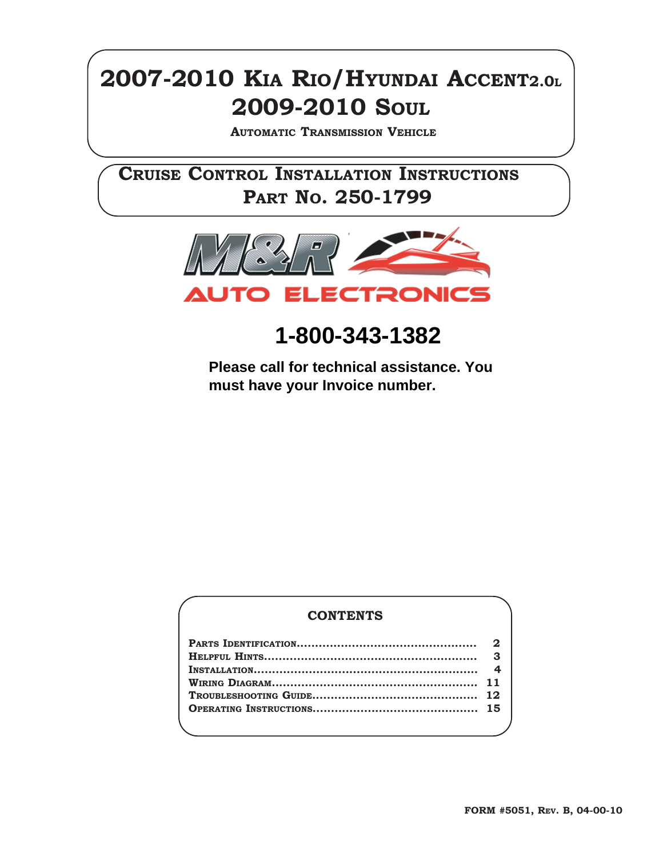### **2007-2010 KIA RIO/HYUNDAI ACCENT2.0L 2009-2010 SOUL**

**AUTOMATIC TRANSMISSION VEHICLE**

**CRUISE CONTROL INSTALLATION INSTRUCTIONS PART NO. 250-1799**



**1-800-343-1382**

**Please call for technical assistance. You must have your Invoice number.**

#### **CONTENTS**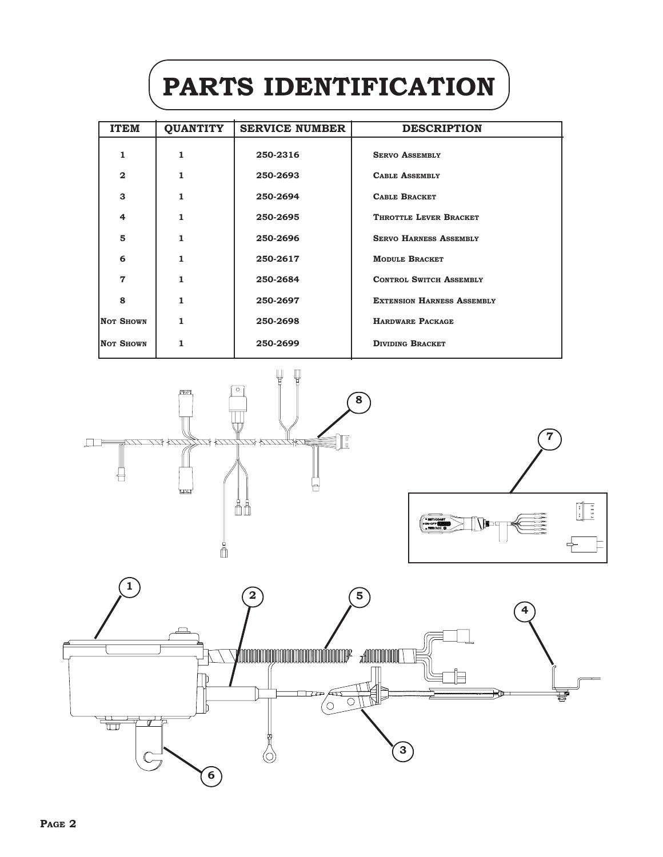# **PARTS IDENTIFICATION**

| <b>ITEM</b>      | <b>QUANTITY</b> | <b>SERVICE NUMBER</b> | <b>DESCRIPTION</b>                |
|------------------|-----------------|-----------------------|-----------------------------------|
| 1                | 1               | 250-2316              | <b>SERVO ASSEMBLY</b>             |
| $\mathbf{2}$     |                 | 250-2693              | <b>CABLE ASSEMBLY</b>             |
| 3                | 1               | 250-2694              | <b>CABLE BRACKET</b>              |
| 4                |                 | 250-2695              | THROTTLE LEVER BRACKET            |
| 5                |                 | 250-2696              | <b>SERVO HARNESS ASSEMBLY</b>     |
| 6                |                 | 250-2617              | <b>MODULE BRACKET</b>             |
| 7                |                 | 250-2684              | <b>CONTROL SWITCH ASSEMBLY</b>    |
| 8                |                 | 250-2697              | <b>EXTENSION HARNESS ASSEMBLY</b> |
| <b>NOT SHOWN</b> |                 | 250-2698              | <b>HARDWARE PACKAGE</b>           |
| Not Shown        |                 | 250-2699              | <b>DIVIDING BRACKET</b>           |





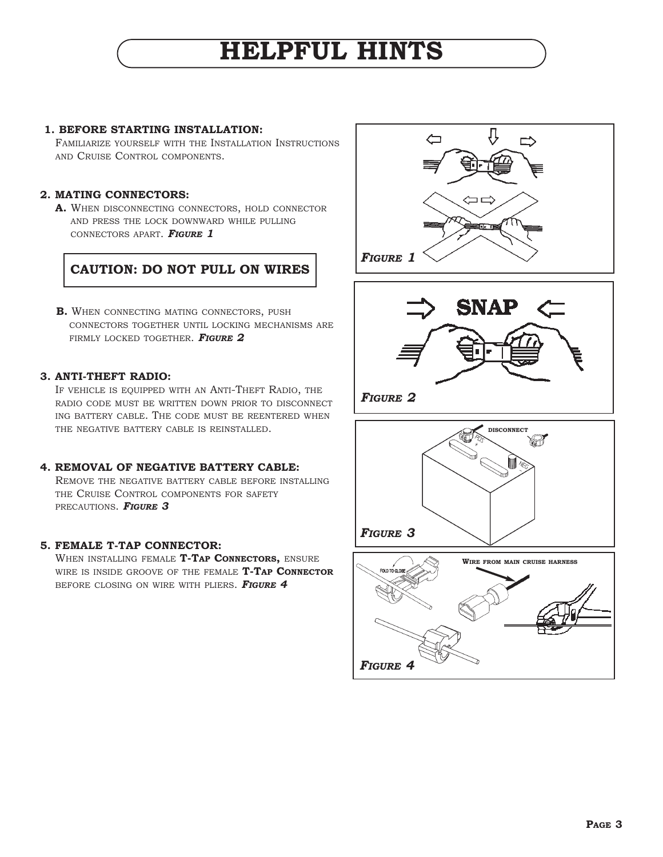## **HELPFUL HINTS**

#### **1. BEFORE STARTING INSTALLATION:**

FAMILIARIZE YOURSELF WITH THE INSTALLATION INSTRUCTIONS AND CRUISE CONTROL COMPONENTS.

#### **2. MATING CONNECTORS:**

**A.** WHEN DISCONNECTING CONNECTORS, HOLD CONNECTOR AND PRESS THE LOCK DOWNWARD WHILE PULLING CONNECTORS APART. *FIGURE 1*



**B.** WHEN CONNECTING MATING CONNECTORS, PUSH CONNECTORS TOGETHER UNTIL LOCKING MECHANISMS ARE FIRMLY LOCKED TOGETHER. *FIGURE 2*

#### **3. ANTI-THEFT RADIO:**

IF VEHICLE IS EQUIPPED WITH AN ANTI-THEFT RADIO, THE RADIO CODE MUST BE WRITTEN DOWN PRIOR TO DISCONNECT ING BATTERY CABLE. THE CODE MUST BE REENTERED WHEN THE NEGATIVE BATTERY CABLE IS REINSTALLED.

#### **4. REMOVAL OF NEGATIVE BATTERY CABLE:**

REMOVE THE NEGATIVE BATTERY CABLE BEFORE INSTALLING THE CRUISE CONTROL COMPONENTS FOR SAFETY PRECAUTIONS. *FIGURE 3*

#### **5. FEMALE T-TAP CONNECTOR:**

WHEN INSTALLING FEMALE **T-TAP CONNECTORS,** ENSURE WIRE IS INSIDE GROOVE OF THE FEMALE **T-TAP CONNECTOR** BEFORE CLOSING ON WIRE WITH PLIERS. *FIGURE 4*





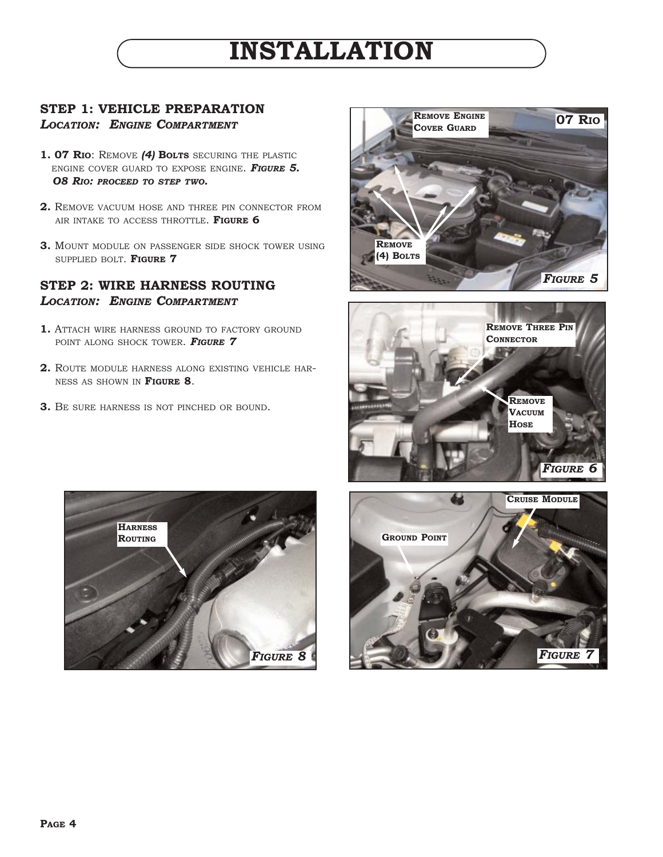#### **STEP 1: VEHICLE PREPARATION** *LOCATION: ENGINE COMPARTMENT*

- **1. 07 RIO**: REMOVE *(4)* **BOLTS** SECURING THE PLASTIC ENGINE COVER GUARD TO EXPOSE ENGINE. *FIGURE 5. O8 RIO: PROCEED TO STEP TWO.*
- **2.** REMOVE VACUUM HOSE AND THREE PIN CONNECTOR FROM AIR INTAKE TO ACCESS THROTTLE. **FIGURE 6**
- **3.** MOUNT MODULE ON PASSENGER SIDE SHOCK TOWER USING SUPPLIED BOLT. **FIGURE 7**

#### **STEP 2: WIRE HARNESS ROUTING** *LOCATION: ENGINE COMPARTMENT*

- **1.** ATTACH WIRE HARNESS GROUND TO FACTORY GROUND POINT ALONG SHOCK TOWER. *FIGURE 7*
- **2.** ROUTE MODULE HARNESS ALONG EXISTING VEHICLE HAR-NESS AS SHOWN IN **FIGURE 8**.
- **3.** BE SURE HARNESS IS NOT PINCHED OR BOUND.







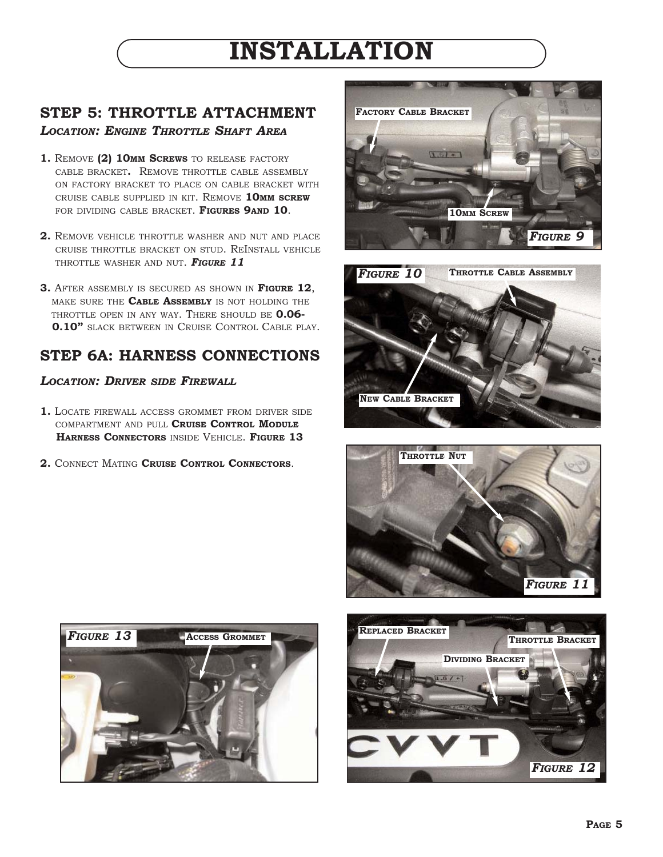### **STEP 5: THROTTLE ATTACHMENT** *LOCATION: ENGINE THROTTLE SHAFT AREA*

- **1.** REMOVE **(2) 10MM SCREWS** TO RELEASE FACTORY CABLE BRACKET**.** REMOVE THROTTLE CABLE ASSEMBLY ON FACTORY BRACKET TO PLACE ON CABLE BRACKET WITH CRUISE CABLE SUPPLIED IN KIT. REMOVE **10MM SCREW** FOR DIVIDING CABLE BRACKET. **FIGURES 9AND 10**.
- **2.** REMOVE VEHICLE THROTTLE WASHER AND NUT AND PLACE CRUISE THROTTLE BRACKET ON STUD. REINSTALL VEHICLE THROTTLE WASHER AND NUT. *FIGURE 11*
- **3.** AFTER ASSEMBLY IS SECURED AS SHOWN IN **FIGURE 12**, MAKE SURE THE **CABLE ASSEMBLY** IS NOT HOLDING THE THROTTLE OPEN IN ANY WAY. THERE SHOULD BE **0.06- 0.10"** SLACK BETWEEN IN CRUISE CONTROL CABLE PLAY.

### **STEP 6A: HARNESS CONNECTIONS**

#### *LOCATION: DRIVER SIDE FIREWALL*

- **1.** LOCATE FIREWALL ACCESS GROMMET FROM DRIVER SIDE COMPARTMENT AND PULL **CRUISE CONTROL MODULE HARNESS CONNECTORS** INSIDE VEHICLE. **FIGURE 13**
- **2.** CONNECT MATING **CRUISE CONTROL CONNECTORS**.









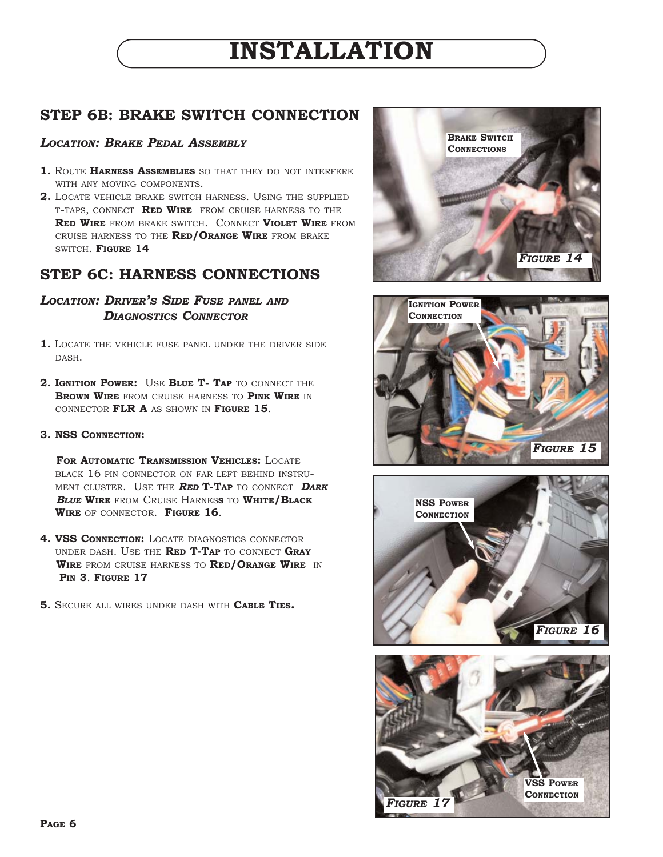### **STEP 6B: BRAKE SWITCH CONNECTION**

#### *LOCATION: BRAKE PEDAL ASSEMBLY*

- **1.** ROUTE **HARNESS ASSEMBLIES** SO THAT THEY DO NOT INTERFERE WITH ANY MOVING COMPONENTS.
- **2.** LOCATE VEHICLE BRAKE SWITCH HARNESS. USING THE SUPPLIED T-TAPS, CONNECT **RED WIRE** FROM CRUISE HARNESS TO THE **RED WIRE** FROM BRAKE SWITCH. CONNECT **VIOLET WIRE** FROM CRUISE HARNESS TO THE **RED/ORANGE WIRE** FROM BRAKE SWITCH. **FIGURE 14**

### **STEP 6C: HARNESS CONNECTIONS**

#### *LOCATION: DRIVER'S SIDE FUSE PANEL AND DIAGNOSTICS CONNECTOR*

- **1.** LOCATE THE VEHICLE FUSE PANEL UNDER THE DRIVER SIDE DASH.
- **2. IGNITION POWER:** USE **BLUE T- TAP** TO CONNECT THE **BROWN WIRE** FROM CRUISE HARNESS TO **PINK WIRE** IN CONNECTOR **FLR A** AS SHOWN IN **FIGURE 15**.

#### **3. NSS CONNECTION:**

**FOR AUTOMATIC TRANSMISSION VEHICLES:** LOCATE BLACK 16 PIN CONNECTOR ON FAR LEFT BEHIND INSTRU-MENT CLUSTER. USE THE *RED* **T-TAP** TO CONNECT *DARK BLUE* **WIRE** FROM CRUISE HARNES**S** TO **WHITE/BLACK WIRE** OF CONNECTOR. **FIGURE 16**.

- **4. VSS CONNECTION: LOCATE DIAGNOSTICS CONNECTOR** UNDER DASH. USE THE **RED T-TAP** TO CONNECT **GRAY WIRE** FROM CRUISE HARNESS TO **RED/ORANGE WIRE** IN **PIN 3**. **FIGURE 17**
- **5.** SECURE ALL WIRES UNDER DASH WITH **CABLE TIES.**







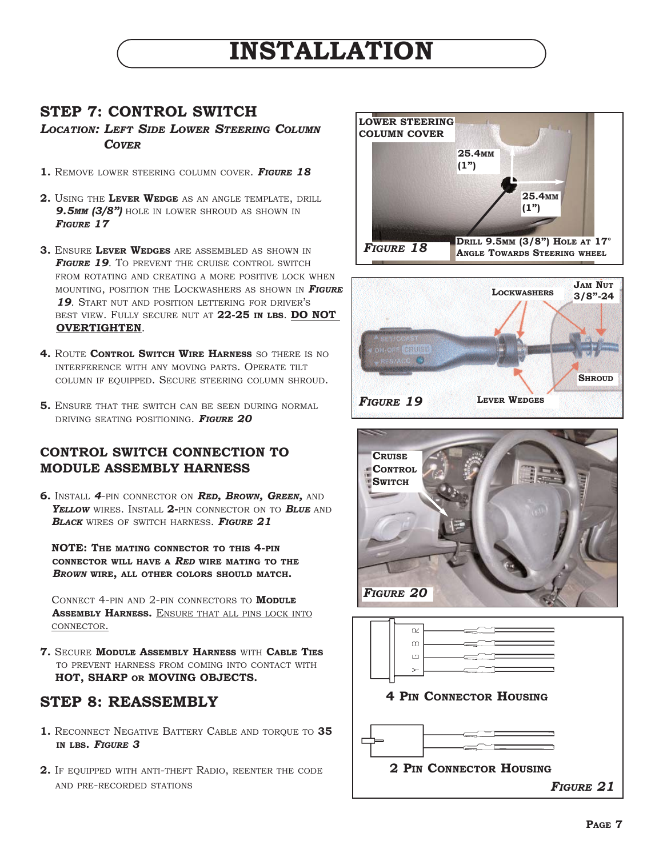### **STEP 7: CONTROL SWITCH**

*LOCATION: LEFT SIDE LOWER STEERING COLUMN COVER*

- **1.** REMOVE LOWER STEERING COLUMN COVER. *FIGURE 18*
- **2.** USING THE **LEVER WEDGE** AS AN ANGLE TEMPLATE, DRILL **9.5MM (3/8")** HOLE IN LOWER SHROUD AS SHOWN IN *FIGURE 17*
- **3.** ENSURE **LEVER WEDGES** ARE ASSEMBLED AS SHOWN IN *FIGURE 19.* TO PREVENT THE CRUISE CONTROL SWITCH FROM ROTATING AND CREATING A MORE POSITIVE LOCK WHEN MOUNTING, POSITION THE LOCKWASHERS AS SHOWN IN *FIGURE 19.* START NUT AND POSITION LETTERING FOR DRIVER'S BEST VIEW. FULLY SECURE NUT AT **22-25 IN LBS**. **DO NOT OVERTIGHTEN**.
- **4.** ROUTE **CONTROL SWITCH WIRE HARNESS** SO THERE IS NO INTERFERENCE WITH ANY MOVING PARTS. OPERATE TILT COLUMN IF EQUIPPED. SECURE STEERING COLUMN SHROUD.
- **5.** ENSURE THAT THE SWITCH CAN BE SEEN DURING NORMAL DRIVING SEATING POSITIONING. *FIGURE 20*

#### **CONTROL SWITCH CONNECTION TO MODULE ASSEMBLY HARNESS**

**6.** INSTALL *4*-PIN CONNECTOR ON *RED, BROWN, GREEN,* AND *YELLOW* WIRES. INSTALL **2-**PIN CONNECTOR ON TO *BLUE* AND *BLACK* WIRES OF SWITCH HARNESS. *FIGURE 21*

**NOTE: THE MATING CONNECTOR TO THIS 4-PIN CONNECTOR WILL HAVE A** *RED* **WIRE MATING TO THE** *BROWN* **WIRE, ALL OTHER COLORS SHOULD MATCH.** 

CONNECT 4-PIN AND 2-PIN CONNECTORS TO **MODULE ASSEMBLY HARNESS.** ENSURE THAT ALL PINS LOCK INTO CONNECTOR.

**7.** SECURE **MODULE ASSEMBLY HARNESS** WITH **CABLE TIES** TO PREVENT HARNESS FROM COMING INTO CONTACT WITH **HOT, SHARP OR MOVING OBJECTS.**

### **STEP 8: REASSEMBLY**

- **1.** RECONNECT NEGATIVE BATTERY CABLE AND TORQUE TO **35 IN LBS.** *FIGURE 3*
- **2.** IF EQUIPPED WITH ANTI-THEFT RADIO, REENTER THE CODE AND PRE-RECORDED STATIONS







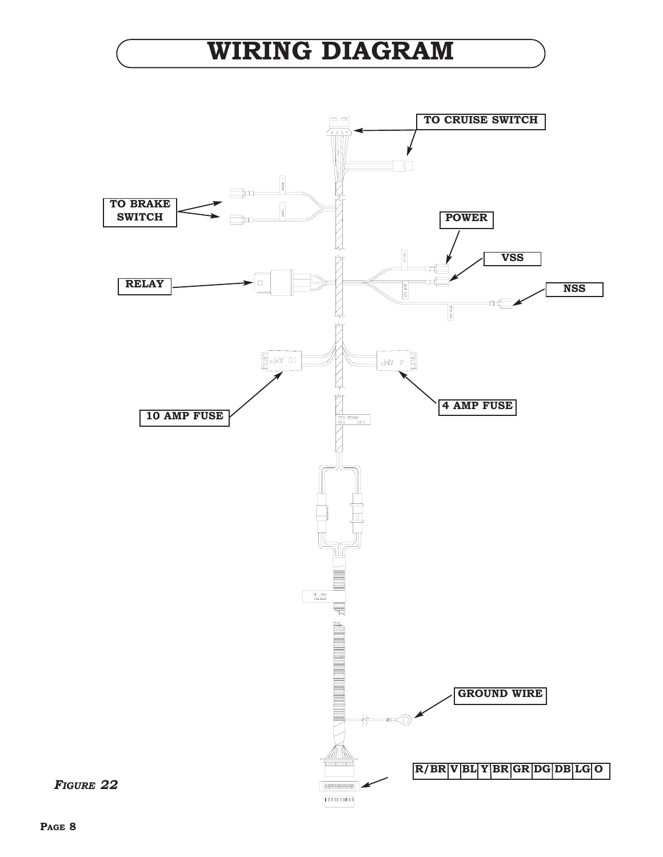## **WIRING DIAGRAM**

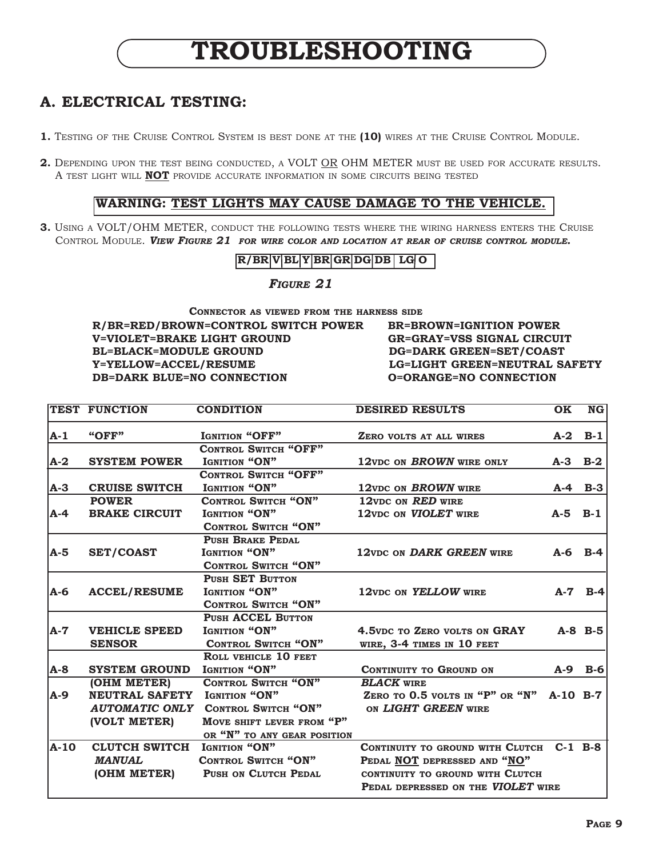## **TROUBLESHOOTING**

### **A. ELECTRICAL TESTING:**

- **1.** TESTING OF THE CRUISE CONTROL SYSTEM IS BEST DONE AT THE **(10)** WIRES AT THE CRUISE CONTROL MODULE.
- **2.** DEPENDING UPON THE TEST BEING CONDUCTED, A VOLT OR OHM METER MUST BE USED FOR ACCURATE RESULTS. A TEST LIGHT WILL **NOT** PROVIDE ACCURATE INFORMATION IN SOME CIRCUITS BEING TESTED

#### **WARNING: TEST LIGHTS MAY CAUSE DAMAGE TO THE VEHICLE.**

**3.** USING A VOLT/OHM METER, CONDUCT THE FOLLOWING TESTS WHERE THE WIRING HARNESS ENTERS THE CRUISE CONTROL MODULE. *VIEW FIGURE 21 FOR WIRE COLOR AND LOCATION AT REAR OF CRUISE CONTROL MODULE.*

**R/BR V BL Y BR GR DG DB LG O**

*FIGURE 21*

**CONNECTOR AS VIEWED FROM THE HARNESS SIDE R/BR=RED/BROWN=CONTROL SWITCH POWER BR=BROWN=IGNITION POWER V=VIOLET=BRAKE LIGHT GROUND GR=GRAY=VSS SIGNAL CIRCUIT BL=BLACK=MODULE GROUND DG=DARK GREEN=SET/COAST Y=YELLOW=ACCEL/RESUME LG=LIGHT GREEN=NEUTRAL SAFETY DB=DARK BLUE=NO CONNECTION O=ORANGE=NO CONNECTION**

| <b>TEST FUNCTION</b> | <b>CONDITION</b>            | <b>DESIRED RESULTS</b>                                                                                | <b>OK</b>                                        | NG                                                                                                                |
|----------------------|-----------------------------|-------------------------------------------------------------------------------------------------------|--------------------------------------------------|-------------------------------------------------------------------------------------------------------------------|
| "OFF"                | <b>IGNITION "OFF"</b>       | ZERO VOLTS AT ALL WIRES                                                                               | $A-2$                                            | $B-1$                                                                                                             |
|                      | <b>CONTROL SWITCH "OFF"</b> |                                                                                                       |                                                  |                                                                                                                   |
| <b>SYSTEM POWER</b>  | IGNITION "ON"               | 12VDC ON BROWN WIRE ONLY                                                                              | $A-3$ $B-2$                                      |                                                                                                                   |
|                      |                             |                                                                                                       |                                                  |                                                                                                                   |
| <b>CRUISE SWITCH</b> | IGNITION "ON"               | 12VDC ON BROWN WIRE                                                                                   |                                                  | $A-4$ B-3                                                                                                         |
| <b>POWER</b>         | <b>CONTROL SWITCH "ON"</b>  |                                                                                                       |                                                  |                                                                                                                   |
| <b>BRAKE CIRCUIT</b> | IGNITION "ON"               | 12VDC ON VIOLET WIRE                                                                                  | $A-5$ $B-1$                                      |                                                                                                                   |
|                      | <b>CONTROL SWITCH "ON"</b>  |                                                                                                       |                                                  |                                                                                                                   |
|                      | <b>PUSH BRAKE PEDAL</b>     |                                                                                                       |                                                  |                                                                                                                   |
| <b>SET/COAST</b>     | IGNITION "ON"               | 12VDC ON DARK GREEN WIRE                                                                              |                                                  | $A-6$ B-4                                                                                                         |
|                      | <b>CONTROL SWITCH "ON"</b>  |                                                                                                       |                                                  |                                                                                                                   |
|                      | <b>PUSH SET BUTTON</b>      |                                                                                                       |                                                  |                                                                                                                   |
| <b>ACCEL/RESUME</b>  | IGNITION "ON"               | 12VDC ON YELLOW WIRE                                                                                  | $A-7$                                            | $B-4$                                                                                                             |
|                      | <b>CONTROL SWITCH "ON"</b>  |                                                                                                       |                                                  |                                                                                                                   |
|                      | <b>PUSH ACCEL BUTTON</b>    |                                                                                                       |                                                  |                                                                                                                   |
| <b>VEHICLE SPEED</b> | IGNITION "ON"               | 4.5VDC TO ZERO VOLTS ON GRAY                                                                          |                                                  | $A-8$ B-5                                                                                                         |
| <b>SENSOR</b>        | <b>CONTROL SWITCH "ON"</b>  | WIRE, 3-4 TIMES IN 10 FEET                                                                            |                                                  |                                                                                                                   |
|                      | ROLL VEHICLE 10 FEET        |                                                                                                       |                                                  |                                                                                                                   |
| <b>SYSTEM GROUND</b> | IGNITION "ON"               | CONTINUITY TO GROUND ON                                                                               |                                                  | A-9 B-6                                                                                                           |
| (OHM METER)          | <b>CONTROL SWITCH "ON"</b>  | <b>BLACK WIRE</b>                                                                                     |                                                  |                                                                                                                   |
|                      | IGNITION "ON"               |                                                                                                       | $A-10$ B-7                                       |                                                                                                                   |
|                      | <b>CONTROL SWITCH "ON"</b>  | ON LIGHT GREEN WIRE                                                                                   |                                                  |                                                                                                                   |
| (VOLT METER)         | MOVE SHIFT LEVER FROM "P"   |                                                                                                       |                                                  |                                                                                                                   |
|                      |                             |                                                                                                       |                                                  |                                                                                                                   |
|                      | IGNITION "ON"               |                                                                                                       |                                                  |                                                                                                                   |
| <b>MANUAL</b>        | <b>CONTROL SWITCH "ON"</b>  | PEDAL NOT DEPRESSED AND "NO"                                                                          |                                                  |                                                                                                                   |
| (OHM METER)          | PUSH ON CLUTCH PEDAL        | CONTINUITY TO GROUND WITH CLUTCH                                                                      |                                                  |                                                                                                                   |
|                      |                             |                                                                                                       |                                                  |                                                                                                                   |
|                      |                             | <b>CONTROL SWITCH "OFF"</b><br><b>NEUTRAL SAFETY</b><br><b>AUTOMATIC ONLY</b><br><b>CLUTCH SWITCH</b> | 12vDC ON RED WIRE<br>OR "N" TO ANY GEAR POSITION | ZERO TO 0.5 VOLTS IN "P" OR "N"<br>CONTINUITY TO GROUND WITH CLUTCH C-1 B-8<br>PEDAL DEPRESSED ON THE VIOLET WIRE |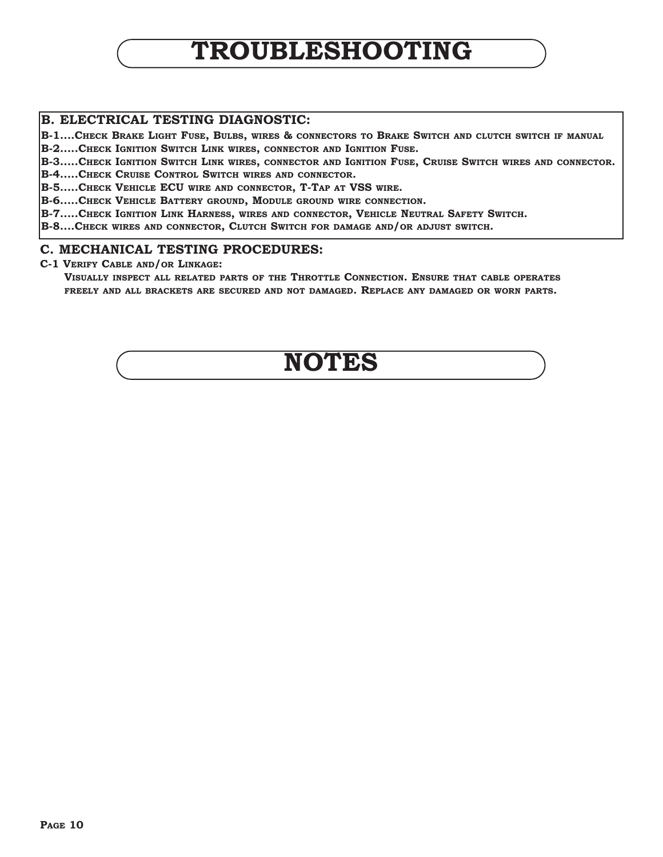## **TROUBLESHOOTING**

#### **B. ELECTRICAL TESTING DIAGNOSTIC:**

**B-1....CHECK BRAKE LIGHT FUSE, BULBS, WIRES & CONNECTORS TO BRAKE SWITCH AND CLUTCH SWITCH IF MANUAL**

**B-2.....CHECK IGNITION SWITCH LINK WIRES, CONNECTOR AND IGNITION FUSE.**

**B-3.....CHECK IGNITION SWITCH LINK WIRES, CONNECTOR AND IGNITION FUSE, CRUISE SWITCH WIRES AND CONNECTOR.**

**B-4.....CHECK CRUISE CONTROL SWITCH WIRES AND CONNECTOR.**

**B-5.....CHECK VEHICLE ECU WIRE AND CONNECTOR, T-TAP AT VSS WIRE.**

**B-6.....CHECK VEHICLE BATTERY GROUND, MODULE GROUND WIRE CONNECTION.**

**B-7.....CHECK IGNITION LINK HARNESS, WIRES AND CONNECTOR, VEHICLE NEUTRAL SAFETY SWITCH.**

**B-8....CHECK WIRES AND CONNECTOR, CLUTCH SWITCH FOR DAMAGE AND/OR ADJUST SWITCH.**

#### **C. MECHANICAL TESTING PROCEDURES:**

**C-1 VERIFY CABLE AND/OR LINKAGE:**

**VISUALLY INSPECT ALL RELATED PARTS OF THE THROTTLE CONNECTION. ENSURE THAT CABLE OPERATES FREELY AND ALL BRACKETS ARE SECURED AND NOT DAMAGED. REPLACE ANY DAMAGED OR WORN PARTS.** 

## **NOTES**